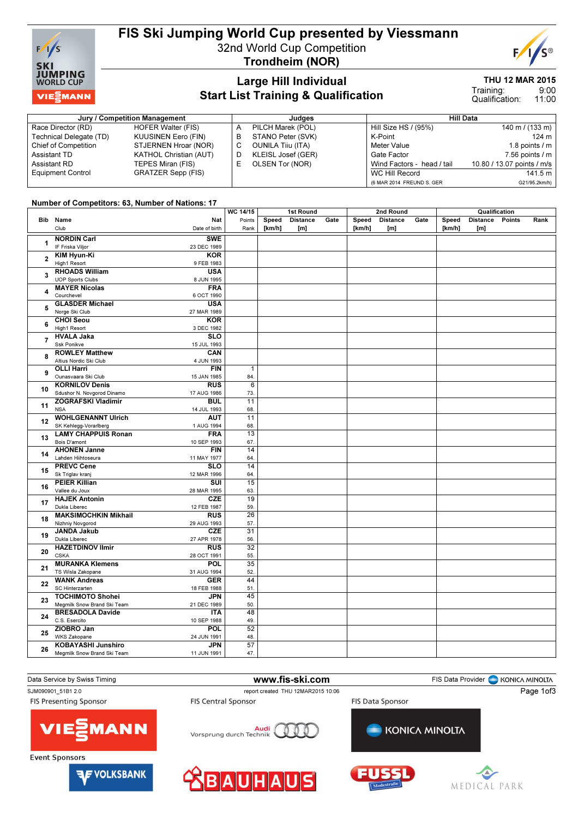

# FIS Ski Jumping World Cup presented by Viessmann

Trondheim (NOR)

32nd World Cup Competition

## Large Hill Individual Start List Training & Qualification

#### THU 12 MAR 2015

9:00 11:00 Training: Qualification:

| Jury / Competition Management |                               |   | Judaes                   | <b>Hill Data</b>           |                            |  |  |  |
|-------------------------------|-------------------------------|---|--------------------------|----------------------------|----------------------------|--|--|--|
| Race Director (RD)            | <b>HOFER Walter (FIS)</b>     | A | PILCH Marek (POL)        | Hill Size HS / (95%)       | 140 m / $(133 \text{ m})$  |  |  |  |
| Technical Delegate (TD)       | KUUSINEN Eero (FIN)           | в | STANO Peter (SVK)        | K-Point                    | $124 \text{ m}$            |  |  |  |
| Chief of Competition          | STJERNEN Hroar (NOR)          |   | <b>OUNILA Tiju (ITA)</b> | Meter Value                | 1.8 points $/m$            |  |  |  |
| Assistant TD                  | <b>KATHOL Christian (AUT)</b> |   | KLEISL Josef (GER)       | Gate Factor                | 7.56 points $/m$           |  |  |  |
| Assistant RD                  | TEPES Miran (FIS)             |   | OLSEN Tor (NOR)          | Wind Factors - head / tail | 10.80 / 13.07 points / m/s |  |  |  |
| <b>Equipment Control</b>      | <b>GRATZER Sepp (FIS)</b>     |   |                          | WC Hill Record             | 141.5 m                    |  |  |  |
|                               |                               |   |                          | (6 MAR 2014 FREUND S. GER  | G21/95.2km/h)              |  |  |  |

#### Number of Competitors: 63, Number of Nations: 17

|                |                                            | WC 14/15        | 1st Round |                 |      |        | 2nd Round       |      | Qualification |                 |        |      |
|----------------|--------------------------------------------|-----------------|-----------|-----------------|------|--------|-----------------|------|---------------|-----------------|--------|------|
| <b>Bib</b>     | Name<br>Nat                                | Points          | Speed     | <b>Distance</b> | Gate | Speed  | <b>Distance</b> | Gate | Speed         | <b>Distance</b> | Points | Rank |
|                | Club<br>Date of birth                      | Rank            | [km/h]    | [m]             |      | [km/h] | [m]             |      | [km/h]        | [m]             |        |      |
|                | <b>NORDIN Carl</b><br><b>SWE</b>           |                 |           |                 |      |        |                 |      |               |                 |        |      |
| 1              | IF Friska Viljor<br>23 DEC 1989            |                 |           |                 |      |        |                 |      |               |                 |        |      |
| $\overline{2}$ | <b>KIM Hyun-Ki</b><br><b>KOR</b>           |                 |           |                 |      |        |                 |      |               |                 |        |      |
|                | High1 Resort<br>9 FEB 1983                 |                 |           |                 |      |        |                 |      |               |                 |        |      |
|                | <b>RHOADS William</b><br><b>USA</b>        |                 |           |                 |      |        |                 |      |               |                 |        |      |
| 3              | <b>UOP Sports Clubs</b><br>8 JUN 1995      |                 |           |                 |      |        |                 |      |               |                 |        |      |
|                | <b>MAYER Nicolas</b><br><b>FRA</b>         |                 |           |                 |      |        |                 |      |               |                 |        |      |
| 4              | Courchevel<br>6 OCT 1990                   |                 |           |                 |      |        |                 |      |               |                 |        |      |
|                | <b>GLASDER Michael</b><br><b>USA</b>       |                 |           |                 |      |        |                 |      |               |                 |        |      |
| 5              | Norge Ski Club<br>27 MAR 1989              |                 |           |                 |      |        |                 |      |               |                 |        |      |
|                | <b>CHOI Seou</b><br><b>KOR</b>             |                 |           |                 |      |        |                 |      |               |                 |        |      |
| 6              | High1 Resort<br>3 DEC 1982                 |                 |           |                 |      |        |                 |      |               |                 |        |      |
|                | <b>SLO</b><br><b>HVALA Jaka</b>            |                 |           |                 |      |        |                 |      |               |                 |        |      |
| $\overline{7}$ | Ssk Ponikve<br>15 JUL 1993                 |                 |           |                 |      |        |                 |      |               |                 |        |      |
|                | <b>ROWLEY Matthew</b><br>CAN               |                 |           |                 |      |        |                 |      |               |                 |        |      |
| 8              | Altius Nordic Ski Club<br>4 JUN 1993       |                 |           |                 |      |        |                 |      |               |                 |        |      |
|                | <b>OLLI Harri</b><br><b>FIN</b>            | $\mathbf{1}$    |           |                 |      |        |                 |      |               |                 |        |      |
| 9              | Ounasvaara Ski Club<br>15 JAN 1985         | 84.             |           |                 |      |        |                 |      |               |                 |        |      |
|                | <b>KORNILOV Denis</b><br>RUS               | 6               |           |                 |      |        |                 |      |               |                 |        |      |
| 10             | Sdushor N. Novgorod Dinamo<br>17 AUG 1986  | 73.             |           |                 |      |        |                 |      |               |                 |        |      |
|                | <b>ZOGRAFSKI Vladimir</b><br><b>BUL</b>    | $\overline{11}$ |           |                 |      |        |                 |      |               |                 |        |      |
| 11             | <b>NSA</b><br>14 JUL 1993                  | 68.             |           |                 |      |        |                 |      |               |                 |        |      |
|                | <b>WOHLGENANNT Ulrich</b><br><b>AUT</b>    | 11              |           |                 |      |        |                 |      |               |                 |        |      |
| 12             | SK Kehlegg-Vorarlberg<br>1 AUG 1994        | 68.             |           |                 |      |        |                 |      |               |                 |        |      |
| 13             | <b>LAMY CHAPPUIS Ronan</b><br><b>FRA</b>   | 13              |           |                 |      |        |                 |      |               |                 |        |      |
|                | Bois D'amont<br>10 SEP 1993                | 67.             |           |                 |      |        |                 |      |               |                 |        |      |
|                | <b>AHONEN Janne</b><br><b>FIN</b>          | 14              |           |                 |      |        |                 |      |               |                 |        |      |
| 14             | Lahden Hiihtoseura<br>11 MAY 1977          | 64.             |           |                 |      |        |                 |      |               |                 |        |      |
|                | <b>PREVC Cene</b><br><b>SLO</b>            | 14              |           |                 |      |        |                 |      |               |                 |        |      |
| 15             | Sk Triglav kranj<br>12 MAR 1996            | 64.             |           |                 |      |        |                 |      |               |                 |        |      |
|                | <b>PEIER Killian</b><br>SUI                | 15              |           |                 |      |        |                 |      |               |                 |        |      |
| 16             | Vallee du Joux<br>28 MAR 1995              | 63.             |           |                 |      |        |                 |      |               |                 |        |      |
|                | <b>HAJEK Antonin</b><br><b>CZE</b>         | 19              |           |                 |      |        |                 |      |               |                 |        |      |
| 17             | Dukla Liberec<br>12 FEB 1987               | 59.             |           |                 |      |        |                 |      |               |                 |        |      |
|                | <b>RUS</b><br><b>MAKSIMOCHKIN Mikhail</b>  | 26              |           |                 |      |        |                 |      |               |                 |        |      |
| 18             | Nizhniy Novgorod<br>29 AUG 1993            | 57.             |           |                 |      |        |                 |      |               |                 |        |      |
|                | <b>CZE</b><br><b>JANDA Jakub</b>           | $\overline{31}$ |           |                 |      |        |                 |      |               |                 |        |      |
| 19             | Dukla Liberec<br>27 APR 1978               | 56.             |           |                 |      |        |                 |      |               |                 |        |      |
|                | <b>HAZETDINOV Ilmir</b><br><b>RUS</b>      | 32              |           |                 |      |        |                 |      |               |                 |        |      |
| 20             | <b>CSKA</b><br>28 OCT 1991                 | 55.             |           |                 |      |        |                 |      |               |                 |        |      |
|                | <b>MURANKA Klemens</b><br>POL              | 35              |           |                 |      |        |                 |      |               |                 |        |      |
| 21             | TS Wisla Zakopane<br>31 AUG 1994           | 52.             |           |                 |      |        |                 |      |               |                 |        |      |
|                | <b>WANK Andreas</b><br><b>GER</b>          | 44              |           |                 |      |        |                 |      |               |                 |        |      |
| 22             | SC Hinterzarten<br>18 FEB 1988             | 51.             |           |                 |      |        |                 |      |               |                 |        |      |
|                | <b>TOCHIMOTO Shohei</b><br><b>JPN</b>      | 45              |           |                 |      |        |                 |      |               |                 |        |      |
| 23             | Megmilk Snow Brand Ski Team<br>21 DEC 1989 | 50.             |           |                 |      |        |                 |      |               |                 |        |      |
|                | <b>BRESADOLA Davide</b><br><b>ITA</b>      | 48              |           |                 |      |        |                 |      |               |                 |        |      |
| 24             | C.S. Esercito<br>10 SEP 1988               | 49.             |           |                 |      |        |                 |      |               |                 |        |      |
|                | ZIOBRO Jan<br>POL                          | 52              |           |                 |      |        |                 |      |               |                 |        |      |
| 25             | <b>WKS Zakopane</b><br>24 JUN 1991         | 48.             |           |                 |      |        |                 |      |               |                 |        |      |
|                | <b>KOBAYASHI Junshiro</b><br><b>JPN</b>    | 57              |           |                 |      |        |                 |      |               |                 |        |      |
| 26             | Megmilk Snow Brand Ski Team<br>11 JUN 1991 | 47.             |           |                 |      |        |                 |      |               |                 |        |      |
|                |                                            |                 |           |                 |      |        |                 |      |               |                 |        |      |

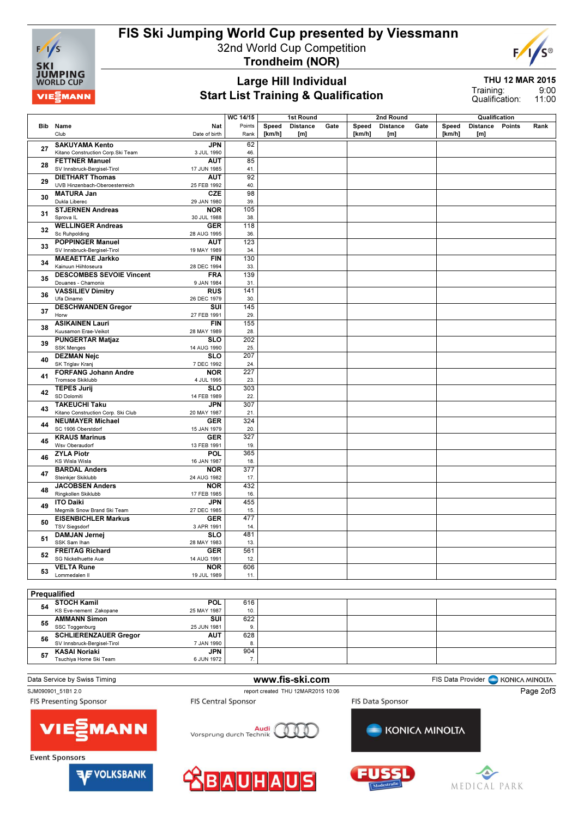

# FIS Ski Jumping World Cup presented by Viessmann

32nd World Cup Competition



Trondheim (NOR)

### Large Hill Individual Start List Training & Qualification

THU 12 MAR 2015

9:00 11:00 Training: Qualification:

|              |                                                   |                  |        | 1st Round       |      |        |                 | 2nd Round |        | Qualification   |        |      |
|--------------|---------------------------------------------------|------------------|--------|-----------------|------|--------|-----------------|-----------|--------|-----------------|--------|------|
| Bib          | Name<br>Nat                                       | Points           | Speed  | <b>Distance</b> | Gate | Speed  | <b>Distance</b> | Gate      | Speed  | <b>Distance</b> | Points | Rank |
|              |                                                   |                  | [km/h] |                 |      | [km/h] |                 |           | [km/h] | [m]             |        |      |
|              | Club<br>Date of birth                             | Rank             |        | [m]             |      |        | [m]             |           |        |                 |        |      |
|              | <b>SAKUYAMA Kento</b><br>JPN                      | 62               |        |                 |      |        |                 |           |        |                 |        |      |
| 27           | Kitano Construction Corp.Ski Team<br>3 JUL 1990   | 46.              |        |                 |      |        |                 |           |        |                 |        |      |
|              | <b>FETTNER Manuel</b><br><b>AUT</b>               | 85               |        |                 |      |        |                 |           |        |                 |        |      |
| 28           |                                                   |                  |        |                 |      |        |                 |           |        |                 |        |      |
|              | SV Innsbruck-Bergisel-Tirol<br>17 JUN 1985        | 41.              |        |                 |      |        |                 |           |        |                 |        |      |
| 29           | <b>DIETHART Thomas</b><br>AUT                     | 92               |        |                 |      |        |                 |           |        |                 |        |      |
|              | UVB Hinzenbach-Oberoesterreich<br>25 FEB 1992     | 40.              |        |                 |      |        |                 |           |        |                 |        |      |
|              | <b>MATURA Jan</b><br><b>CZE</b>                   | 98               |        |                 |      |        |                 |           |        |                 |        |      |
| 30           | Dukla Liberec<br>29 JAN 1980                      | 39               |        |                 |      |        |                 |           |        |                 |        |      |
|              |                                                   | 105              |        |                 |      |        |                 |           |        |                 |        |      |
| 31           | <b>STJERNEN Andreas</b><br><b>NOR</b>             |                  |        |                 |      |        |                 |           |        |                 |        |      |
|              | Sprova <sub>IL</sub><br>30 JUL 1988               | 38.              |        |                 |      |        |                 |           |        |                 |        |      |
|              | <b>WELLINGER Andreas</b><br><b>GER</b>            | 118              |        |                 |      |        |                 |           |        |                 |        |      |
| 32           | Sc Ruhpolding<br>28 AUG 1995                      | 36.              |        |                 |      |        |                 |           |        |                 |        |      |
|              | <b>POPPINGER Manuel</b><br><b>AUT</b>             | 123              |        |                 |      |        |                 |           |        |                 |        |      |
| 33           | SV Innsbruck-Bergisel-Tirol<br>19 MAY 1989        | 34.              |        |                 |      |        |                 |           |        |                 |        |      |
|              |                                                   |                  |        |                 |      |        |                 |           |        |                 |        |      |
| 34           | <b>MAEAETTAE Jarkko</b><br><b>FIN</b>             | 130              |        |                 |      |        |                 |           |        |                 |        |      |
|              | Kainuun Hiihtoseura<br>28 DEC 1994                | 33.              |        |                 |      |        |                 |           |        |                 |        |      |
|              | <b>DESCOMBES SEVOIE Vincent</b><br><b>FRA</b>     | 139              |        |                 |      |        |                 |           |        |                 |        |      |
| 35           | Douanes - Chamonix<br>9 JAN 1984                  | 31.              |        |                 |      |        |                 |           |        |                 |        |      |
|              | <b>VASSILIEV Dimitry</b><br><b>RUS</b>            | 141              |        |                 |      |        |                 |           |        |                 |        |      |
| 36           |                                                   |                  |        |                 |      |        |                 |           |        |                 |        |      |
|              | Ufa Dinamo<br>26 DEC 1979                         | 30.              |        |                 |      |        |                 |           |        |                 |        |      |
| 37           | <b>DESCHWANDEN Gregor</b><br>SUI                  | 145              |        |                 |      |        |                 |           |        |                 |        |      |
|              | Horw<br>27 FEB 1991                               | 29.              |        |                 |      |        |                 |           |        |                 |        |      |
|              | <b>ASIKAINEN Lauri</b><br><b>FIN</b>              | 155              |        |                 |      |        |                 |           |        |                 |        |      |
| 38           | Kuusamon Erae-Veikot<br>28 MAY 1989               | 28.              |        |                 |      |        |                 |           |        |                 |        |      |
| 39           |                                                   |                  |        |                 |      |        |                 |           |        |                 |        |      |
|              | <b>PUNGERTAR Matjaz</b><br><b>SLO</b>             | 202              |        |                 |      |        |                 |           |        |                 |        |      |
|              | <b>SSK Menges</b><br>14 AUG 1990                  | 25.              |        |                 |      |        |                 |           |        |                 |        |      |
|              | <b>DEZMAN Nejc</b><br><b>SLO</b>                  | 207              |        |                 |      |        |                 |           |        |                 |        |      |
| 40           | SK Triglav Kranj<br>7 DEC 1992                    | 24.              |        |                 |      |        |                 |           |        |                 |        |      |
|              | <b>FORFANG Johann Andre</b><br><b>NOR</b>         | 227              |        |                 |      |        |                 |           |        |                 |        |      |
| 41           | Tromsoe Skiklubb                                  | 23.              |        |                 |      |        |                 |           |        |                 |        |      |
|              | 4 JUL 1995                                        |                  |        |                 |      |        |                 |           |        |                 |        |      |
| 42           | <b>TEPES Jurij</b><br><b>SLO</b>                  | 303              |        |                 |      |        |                 |           |        |                 |        |      |
|              | SD Dolomiti<br>14 FEB 1989                        | 22.              |        |                 |      |        |                 |           |        |                 |        |      |
|              | <b>TAKEUCHI Taku</b><br><b>JPN</b>                | 307              |        |                 |      |        |                 |           |        |                 |        |      |
| 43           | Kitano Construction Corp. Ski Club<br>20 MAY 1987 | 21.              |        |                 |      |        |                 |           |        |                 |        |      |
|              | <b>NEUMAYER Michael</b><br><b>GER</b>             | 324              |        |                 |      |        |                 |           |        |                 |        |      |
| 44           | SC 1906 Oberstdorf                                |                  |        |                 |      |        |                 |           |        |                 |        |      |
|              | 15 JAN 1979                                       | 20.              |        |                 |      |        |                 |           |        |                 |        |      |
| 45           | <b>KRAUS Marinus</b><br><b>GER</b>                | 327              |        |                 |      |        |                 |           |        |                 |        |      |
|              | Wsv Oberaudorf<br>13 FEB 1991                     | 19.              |        |                 |      |        |                 |           |        |                 |        |      |
|              | <b>ZYLA Piotr</b><br>POL                          | 365              |        |                 |      |        |                 |           |        |                 |        |      |
| 46           | KS Wisla Wisla<br>16 JAN 1987                     | 18.              |        |                 |      |        |                 |           |        |                 |        |      |
|              | <b>BARDAL Anders</b><br><b>NOR</b>                | $\overline{377}$ |        |                 |      |        |                 |           |        |                 |        |      |
| 47           | Steinkjer Skiklubb                                | 17.              |        |                 |      |        |                 |           |        |                 |        |      |
|              | 24 AUG 1982                                       |                  |        |                 |      |        |                 |           |        |                 |        |      |
| 48           | <b>JACOBSEN Anders</b><br><b>NOR</b>              | 432              |        |                 |      |        |                 |           |        |                 |        |      |
|              | Ringkollen Skiklubb<br>17 FEB 1985                | 16.              |        |                 |      |        |                 |           |        |                 |        |      |
|              | <b>ITO Daiki</b><br><b>JPN</b>                    | 455              |        |                 |      |        |                 |           |        |                 |        |      |
| 49           | Megmilk Snow Brand Ski Team<br>27 DEC 1985        | 15.              |        |                 |      |        |                 |           |        |                 |        |      |
|              | <b>EISENBICHLER Markus</b><br><b>GER</b>          | 477              |        |                 |      |        |                 |           |        |                 |        |      |
| 50           |                                                   |                  |        |                 |      |        |                 |           |        |                 |        |      |
|              | <b>TSV Siegsdorf</b><br>3 APR 1991                | 14.              |        |                 |      |        |                 |           |        |                 |        |      |
| 51           | <b>DAMJAN Jernej</b><br><b>SLO</b>                | 481              |        |                 |      |        |                 |           |        |                 |        |      |
|              | SSK Sam Ihan<br>28 MAY 1983                       | 13.              |        |                 |      |        |                 |           |        |                 |        |      |
|              | <b>FREITAG Richard</b><br><b>GER</b>              | 561              |        |                 |      |        |                 |           |        |                 |        |      |
| 52           | SG Nickelhuette Aue<br>14 AUG 1991                | 12.              |        |                 |      |        |                 |           |        |                 |        |      |
|              |                                                   |                  |        |                 |      |        |                 |           |        |                 |        |      |
| 53           | <b>VELTA Rune</b><br><b>NOR</b>                   | 606              |        |                 |      |        |                 |           |        |                 |        |      |
|              | Lommedalen II<br>19 JUL 1989                      | 11.              |        |                 |      |        |                 |           |        |                 |        |      |
|              |                                                   |                  |        |                 |      |        |                 |           |        |                 |        |      |
| Prequalified |                                                   |                  |        |                 |      |        |                 |           |        |                 |        |      |
|              |                                                   |                  |        |                 |      |        |                 |           |        |                 |        |      |
|              | STOCH Kamil<br><b>POL</b>                         | 616              |        |                 |      |        |                 |           |        |                 |        |      |

#### **54 STOCH Kamil**<br>KS Eve-nement Zakopane 25 MAY 1987 10. <sup>55</sup> AMMANN Simon SSC Toggenburg SUI 25 JUN 1981 622 9. 56 SCHLIERENZAUER Gregor SV Innsbruck-Bergisel-Tirol AUT 7 JAN 1990 628 8. <sup>57</sup> KASAI Noriaki Tsuchiya Home Ski Team **JPN** 6 JUN 1972 904 7.





**AF VOLKSBANK**